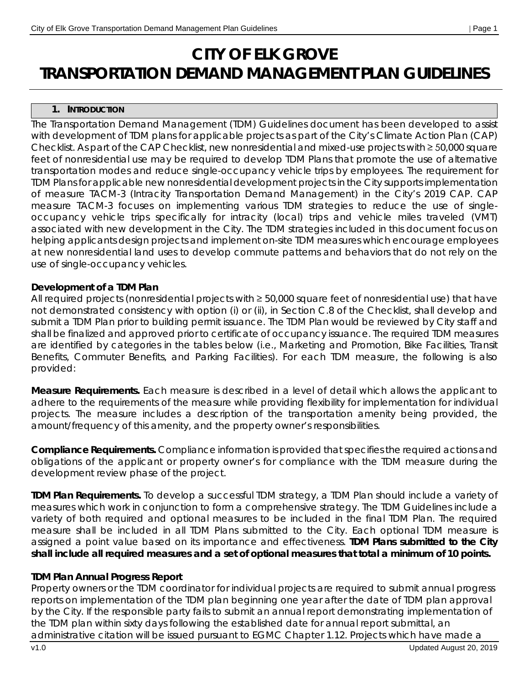# **CITY OF ELK GROVE TRANSPORTATION DEMAND MANAGEMENT PLAN GUIDELINES**

### **1. INTRODUCTION**

The Transportation Demand Management (TDM) Guidelines document has been developed to assist with development of TDM plans for applicable projects as part of the City's Climate Action Plan (CAP) Checklist. As part of the CAP Checklist, new nonresidential and mixed-use projects with ≥ 50,000 square feet of nonresidential use may be required to develop TDM Plans that promote the use of alternative transportation modes and reduce single-occupancy vehicle trips by employees. The requirement for TDM Plans for applicable new nonresidential development projects in the City supports implementation of measure TACM-3 (Intracity Transportation Demand Management) in the City's 2019 CAP. CAP measure TACM-3 focuses on implementing various TDM strategies to reduce the use of singleoccupancy vehicle trips specifically for intracity (local) trips and vehicle miles traveled (VMT) associated with new development in the City. The TDM strategies included in this document focus on helping applicants design projects and implement on-site TDM measures which encourage employees at new nonresidential land uses to develop commute patterns and behaviors that do not rely on the use of single-occupancy vehicles.

### **Development of a TDM Plan**

All required projects (nonresidential projects with ≥ 50,000 square feet of nonresidential use) that have not demonstrated consistency with option (i) or (ii), in Section C.8 of the Checklist, shall develop and submit a TDM Plan prior to building permit issuance. The TDM Plan would be reviewed by City staff and shall be finalized and approved prior to certificate of occupancy issuance. The required TDM measures are identified by categories in the tables below (i.e., Marketing and Promotion, Bike Facilities, Transit Benefits, Commuter Benefits, and Parking Facilities). For each TDM measure, the following is also provided:

**Measure Requirements.** Each measure is described in a level of detail which allows the applicant to adhere to the requirements of the measure while providing flexibility for implementation for individual projects. The measure includes a description of the transportation amenity being provided, the amount/frequency of this amenity, and the property owner's responsibilities.

**Compliance Requirements.** Compliance information is provided that specifies the required actions and obligations of the applicant or property owner's for compliance with the TDM measure during the development review phase of the project.

**TDM Plan Requirements.** To develop a successful TDM strategy, a TDM Plan should include a variety of measures which work in conjunction to form a comprehensive strategy. The TDM Guidelines include a variety of both required and optional measures to be included in the final TDM Plan. The required measure shall be included in all TDM Plans submitted to the City. Each optional TDM measure is assigned a point value based on its importance and effectiveness. **TDM Plans submitted to the City shall include all required measures and a set of optional measures that total a minimum of 10 points.** 

## **TDM Plan Annual Progress Report**

Property owners or the TDM coordinator for individual projects are required to submit annual progress reports on implementation of the TDM plan beginning one year after the date of TDM plan approval by the City. If the responsible party fails to submit an annual report demonstrating implementation of the TDM plan within sixty days following the established date for annual report submittal, an administrative citation will be issued pursuant to EGMC Chapter 1.12. Projects which have made a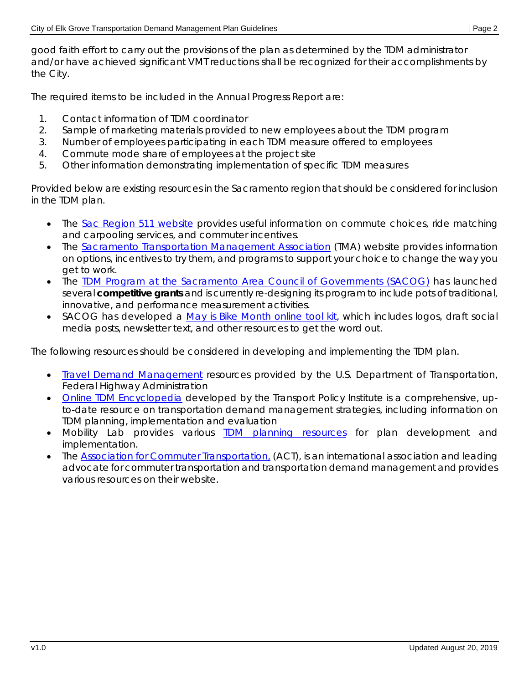good faith effort to carry out the provisions of the plan as determined by the TDM administrator and/or have achieved significant VMT reductions shall be recognized for their accomplishments by the City.

The required items to be included in the Annual Progress Report are:

- 1. Contact information of TDM coordinator
- 2. Sample of marketing materials provided to new employees about the TDM program
- 3. Number of employees participating in each TDM measure offered to employees
- 4. Commute mode share of employees at the project site
- 5. Other information demonstrating implementation of specific TDM measures

Provided below are existing resources in the Sacramento region that should be considered for inclusion in the TDM plan.

- The [Sac Region 511 website](https://sacregion511.org/#/) provides useful information on commute choices, ride matching and carpooling services, and commuter incentives.
- The [Sacramento Transportation Management Association](http://www.sacramento-tma.org/index.html) (TMA) website provides information on options, incentives to try them, and programs to support your choice to change the way you get to work.
- The TDM Program [at the Sacramento Area Council of Governments \(SACOG\)](https://www.sacog.org/transportation-demand-management-0) has launched several **competitive grants** and is currently re-designing its program to include pots of traditional, innovative, and performance measurement activities.
- SACOG has developed a [May is Bike Month online tool kit,](https://www.sacog.org/MIBM-toolkit) which includes logos, draft social media posts, newsletter text, and other resources to get the word out.

The following resources should be considered in developing and implementing the TDM plan.

- [Travel Demand Management](http://www.ops.fhwa.dot.gov/tdm/) resources provided by the U.S. Department of Transportation, Federal Highway Administration
- [Online TDM Encyclopedia](https://www.vtpi.org/tdm/) developed by the Transport Policy Institute is a comprehensive, upto-date resource on transportation demand management strategies, including information on TDM planning, implementation and evaluation
- Mobility Lab provides various [TDM planning resources](https://mobilitylab.org/about-us/what-is-tdm/) for plan development and implementation.
- The [Association for Commuter Transportation,](http://actweb.org/) (ACT), is an international association and leading advocate for commuter transportation and transportation demand management and provides various resources on their website.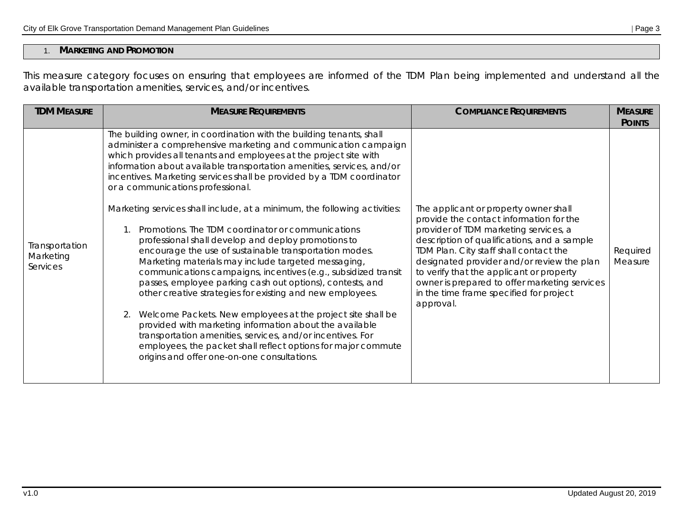## 1. **MARKETING AND PROMOTION**

This measure category focuses on ensuring that employees are informed of the TDM Plan being implemented and understand all the available transportation amenities, services, and/or incentives.

| <b>TDM MEASURE</b>                      | <b>MEASURE REQUIREMENTS</b>                                                                                                                                                                                                                                                                                                                                                                                                                                                                                                                                                                                                                                                                                                                                                                                                                                                                                                                                                                                                                                                                                                                                                                                        | <b>COMPLIANCE REQUIREMENTS</b>                                                                                                                                                                                                                                                                                                                                                                                        | <b>MEASURE</b><br><b>POINTS</b> |
|-----------------------------------------|--------------------------------------------------------------------------------------------------------------------------------------------------------------------------------------------------------------------------------------------------------------------------------------------------------------------------------------------------------------------------------------------------------------------------------------------------------------------------------------------------------------------------------------------------------------------------------------------------------------------------------------------------------------------------------------------------------------------------------------------------------------------------------------------------------------------------------------------------------------------------------------------------------------------------------------------------------------------------------------------------------------------------------------------------------------------------------------------------------------------------------------------------------------------------------------------------------------------|-----------------------------------------------------------------------------------------------------------------------------------------------------------------------------------------------------------------------------------------------------------------------------------------------------------------------------------------------------------------------------------------------------------------------|---------------------------------|
| Transportation<br>Marketing<br>Services | The building owner, in coordination with the building tenants, shall<br>administer a comprehensive marketing and communication campaign<br>which provides all tenants and employees at the project site with<br>information about available transportation amenities, services, and/or<br>incentives. Marketing services shall be provided by a TDM coordinator<br>or a communications professional.<br>Marketing services shall include, at a minimum, the following activities:<br>Promotions. The TDM coordinator or communications<br>professional shall develop and deploy promotions to<br>encourage the use of sustainable transportation modes.<br>Marketing materials may include targeted messaging,<br>communications campaigns, incentives (e.g., subsidized transit<br>passes, employee parking cash out options), contests, and<br>other creative strategies for existing and new employees.<br>Welcome Packets. New employees at the project site shall be<br>provided with marketing information about the available<br>transportation amenities, services, and/or incentives. For<br>employees, the packet shall reflect options for major commute<br>origins and offer one-on-one consultations. | The applicant or property owner shall<br>provide the contact information for the<br>provider of TDM marketing services, a<br>description of qualifications, and a sample<br>TDM Plan. City staff shall contact the<br>designated provider and/or review the plan<br>to verify that the applicant or property<br>owner is prepared to offer marketing services<br>in the time frame specified for project<br>approval. | Required<br>Measure             |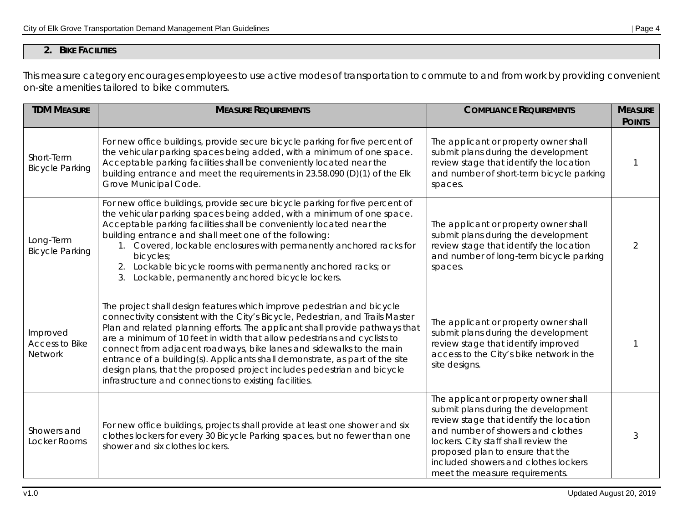## **2. BIKE FACILITIES**

This measure category encourages employees to use active modes of transportation to commute to and from work by providing convenient on-site amenities tailored to bike commuters.

| <b>TDM MEASURE</b>                           | <b>MEASURE REQUIREMENTS</b>                                                                                                                                                                                                                                                                                                                                                                                                                                                                                                                                                                                       | <b>COMPLIANCE REQUIREMENTS</b>                                                                                                                                                                                                                                                                                     | <b>MEASURE</b><br><b>POINTS</b> |
|----------------------------------------------|-------------------------------------------------------------------------------------------------------------------------------------------------------------------------------------------------------------------------------------------------------------------------------------------------------------------------------------------------------------------------------------------------------------------------------------------------------------------------------------------------------------------------------------------------------------------------------------------------------------------|--------------------------------------------------------------------------------------------------------------------------------------------------------------------------------------------------------------------------------------------------------------------------------------------------------------------|---------------------------------|
| Short-Term<br><b>Bicycle Parking</b>         | For new office buildings, provide secure bicycle parking for five percent of<br>the vehicular parking spaces being added, with a minimum of one space.<br>Acceptable parking facilities shall be conveniently located near the<br>building entrance and meet the requirements in 23.58.090 (D)(1) of the Elk<br>Grove Municipal Code.                                                                                                                                                                                                                                                                             | The applicant or property owner shall<br>submit plans during the development<br>review stage that identify the location<br>and number of short-term bicycle parking<br>spaces.                                                                                                                                     | -1                              |
| Long-Term<br><b>Bicycle Parking</b>          | For new office buildings, provide secure bicycle parking for five percent of<br>the vehicular parking spaces being added, with a minimum of one space.<br>Acceptable parking facilities shall be conveniently located near the<br>building entrance and shall meet one of the following:<br>1. Covered, lockable enclosures with permanently anchored racks for<br>bicycles;<br>2. Lockable bicycle rooms with permanently anchored racks; or<br>Lockable, permanently anchored bicycle lockers.<br>3.                                                                                                            | The applicant or property owner shall<br>submit plans during the development<br>review stage that identify the location<br>and number of long-term bicycle parking<br>spaces.                                                                                                                                      | $\mathcal{P}$                   |
| Improved<br>Access to Bike<br><b>Network</b> | The project shall design features which improve pedestrian and bicycle<br>connectivity consistent with the City's Bicycle, Pedestrian, and Trails Master<br>Plan and related planning efforts. The applicant shall provide pathways that<br>are a minimum of 10 feet in width that allow pedestrians and cyclists to<br>connect from adjacent roadways, bike lanes and sidewalks to the main<br>entrance of a building(s). Applicants shall demonstrate, as part of the site<br>design plans, that the proposed project includes pedestrian and bicycle<br>infrastructure and connections to existing facilities. | The applicant or property owner shall<br>submit plans during the development<br>review stage that identify improved<br>access to the City's bike network in the<br>site designs.                                                                                                                                   |                                 |
| Showers and<br>Locker Rooms                  | For new office buildings, projects shall provide at least one shower and six<br>clothes lockers for every 30 Bicycle Parking spaces, but no fewer than one<br>shower and six clothes lockers.                                                                                                                                                                                                                                                                                                                                                                                                                     | The applicant or property owner shall<br>submit plans during the development<br>review stage that identify the location<br>and number of showers and clothes<br>lockers. City staff shall review the<br>proposed plan to ensure that the<br>included showers and clothes lockers<br>meet the measure requirements. | 3                               |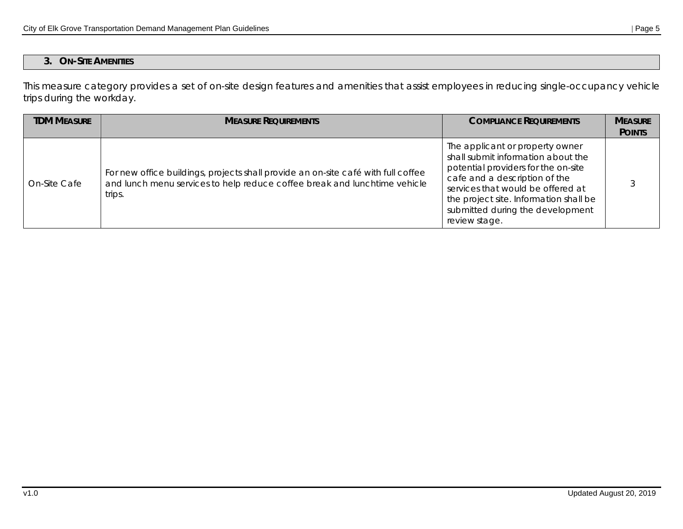## **3. ON-SITE AMENITIES**

This measure category provides a set of on-site design features and amenities that assist employees in reducing single-occupancy vehicle trips during the workday.

| <b>TDM MFASURF</b> | <b>MEASURE REQUIREMENTS</b>                                                                                                                                              | <b>COMPLIANCE REQUIREMENTS</b>                                                                                                                                                                                                                                                    | <b>MEASURE</b><br><b>POINTS</b> |
|--------------------|--------------------------------------------------------------------------------------------------------------------------------------------------------------------------|-----------------------------------------------------------------------------------------------------------------------------------------------------------------------------------------------------------------------------------------------------------------------------------|---------------------------------|
| On-Site Cafe       | For new office buildings, projects shall provide an on-site café with full coffee<br>and lunch menu services to help reduce coffee break and lunchtime vehicle<br>trips. | The applicant or property owner<br>shall submit information about the<br>potential providers for the on-site<br>cafe and a description of the<br>services that would be offered at<br>the project site. Information shall be<br>submitted during the development<br>review stage. |                                 |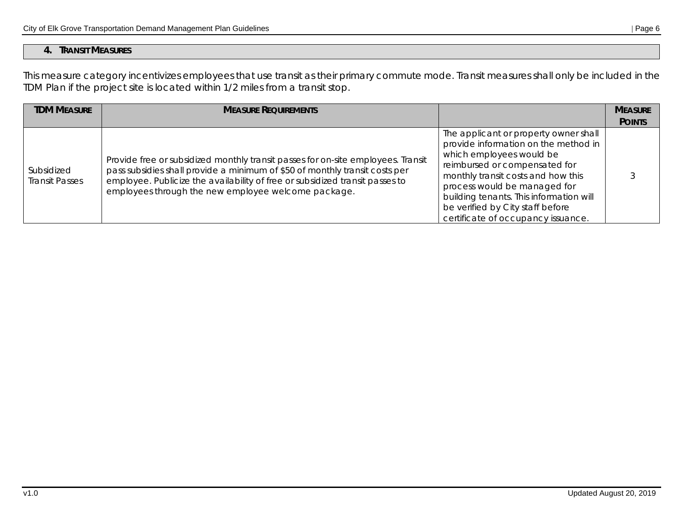This measure category incentivizes employees that use transit as their primary commute mode. Transit measures shall only be included in the TDM Plan if the project site is located within 1/2 miles from a transit stop.

| <b>TDM MEASURE</b>                  | <b>MEASURE REQUIREMENTS</b>                                                                                                                                                                                                                                                                            |                                                                                                                                                                                                                                                                                                                                       | <b>MEASURE</b> |
|-------------------------------------|--------------------------------------------------------------------------------------------------------------------------------------------------------------------------------------------------------------------------------------------------------------------------------------------------------|---------------------------------------------------------------------------------------------------------------------------------------------------------------------------------------------------------------------------------------------------------------------------------------------------------------------------------------|----------------|
|                                     |                                                                                                                                                                                                                                                                                                        |                                                                                                                                                                                                                                                                                                                                       | <b>POINTS</b>  |
| Subsidized<br><b>Transit Passes</b> | Provide free or subsidized monthly transit passes for on-site employees. Transit<br>pass subsidies shall provide a minimum of \$50 of monthly transit costs per<br>employee. Publicize the availability of free or subsidized transit passes to<br>employees through the new employee welcome package. | The applicant or property owner shall<br>provide information on the method in<br>which employees would be<br>reimbursed or compensated for<br>monthly transit costs and how this<br>process would be managed for<br>building tenants. This information will<br>be verified by City staff before<br>certificate of occupancy issuance. |                |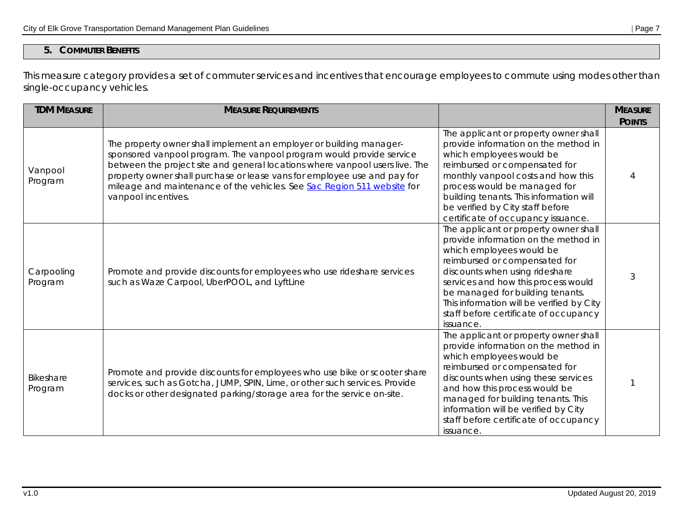# **5. COMMUTER BENEFITS**

This measure category provides a set of commuter services and incentives that encourage employees to commute using modes other than single-occupancy vehicles.

| <b>TDM MEASURE</b>    | <b>MEASURE REQUIREMENTS</b>                                                                                                                                                                                                                                                                                                                                                                               |                                                                                                                                                                                                                                                                                                                                                            | <b>MEASURE</b><br><b>POINTS</b> |
|-----------------------|-----------------------------------------------------------------------------------------------------------------------------------------------------------------------------------------------------------------------------------------------------------------------------------------------------------------------------------------------------------------------------------------------------------|------------------------------------------------------------------------------------------------------------------------------------------------------------------------------------------------------------------------------------------------------------------------------------------------------------------------------------------------------------|---------------------------------|
| Vanpool<br>Program    | The property owner shall implement an employer or building manager-<br>sponsored vanpool program. The vanpool program would provide service<br>between the project site and general locations where vanpool users live. The<br>property owner shall purchase or lease vans for employee use and pay for<br>mileage and maintenance of the vehicles. See Sac Region 511 website for<br>vanpool incentives. | The applicant or property owner shall<br>provide information on the method in<br>which employees would be<br>reimbursed or compensated for<br>monthly vanpool costs and how this<br>process would be managed for<br>building tenants. This information will<br>be verified by City staff before<br>certificate of occupancy issuance.                      | Δ                               |
| Carpooling<br>Program | Promote and provide discounts for employees who use rideshare services<br>such as Waze Carpool, UberPOOL, and LyftLine                                                                                                                                                                                                                                                                                    | The applicant or property owner shall<br>provide information on the method in<br>which employees would be<br>reimbursed or compensated for<br>discounts when using rideshare<br>services and how this process would<br>be managed for building tenants.<br>This information will be verified by City<br>staff before certificate of occupancy<br>issuance. | 3                               |
| Bikeshare<br>Program  | Promote and provide discounts for employees who use bike or scooter share<br>services, such as Gotcha, JUMP, SPIN, Lime, or other such services. Provide<br>docks or other designated parking/storage area for the service on-site.                                                                                                                                                                       | The applicant or property owner shall<br>provide information on the method in<br>which employees would be<br>reimbursed or compensated for<br>discounts when using these services<br>and how this process would be<br>managed for building tenants. This<br>information will be verified by City<br>staff before certificate of occupancy<br>issuance.     |                                 |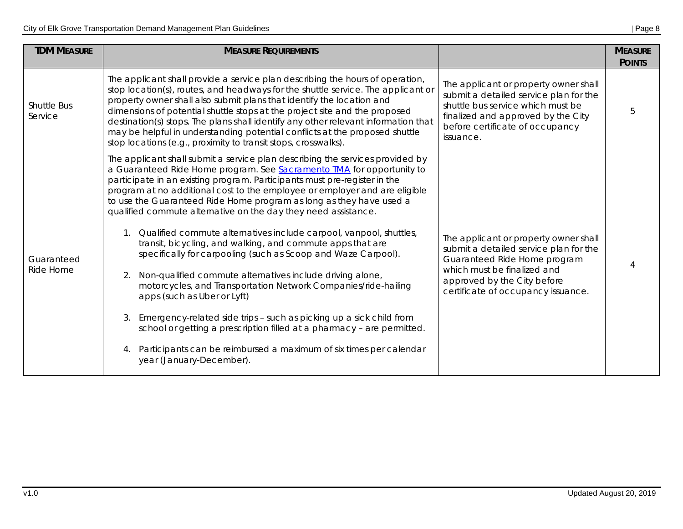| <b>TDM MEASURE</b>            | <b>MEASURE REQUIREMENTS</b>                                                                                                                                                                                                                                                                                                                                                                                                                                                                                                                                                                                                                                                                                                                                                                                                                                                                                                                                                                                                                                                                  |                                                                                                                                                                                                                     | <b>MEASURE</b><br><b>POINTS</b> |
|-------------------------------|----------------------------------------------------------------------------------------------------------------------------------------------------------------------------------------------------------------------------------------------------------------------------------------------------------------------------------------------------------------------------------------------------------------------------------------------------------------------------------------------------------------------------------------------------------------------------------------------------------------------------------------------------------------------------------------------------------------------------------------------------------------------------------------------------------------------------------------------------------------------------------------------------------------------------------------------------------------------------------------------------------------------------------------------------------------------------------------------|---------------------------------------------------------------------------------------------------------------------------------------------------------------------------------------------------------------------|---------------------------------|
| <b>Shuttle Bus</b><br>Service | The applicant shall provide a service plan describing the hours of operation,<br>stop location(s), routes, and headways for the shuttle service. The applicant or<br>property owner shall also submit plans that identify the location and<br>dimensions of potential shuttle stops at the project site and the proposed<br>destination(s) stops. The plans shall identify any other relevant information that<br>may be helpful in understanding potential conflicts at the proposed shuttle<br>stop locations (e.g., proximity to transit stops, crosswalks).                                                                                                                                                                                                                                                                                                                                                                                                                                                                                                                              | The applicant or property owner shall<br>submit a detailed service plan for the<br>shuttle bus service which must be<br>finalized and approved by the City<br>before certificate of occupancy<br>issuance.          | 5                               |
| Guaranteed<br>Ride Home       | The applicant shall submit a service plan describing the services provided by<br>a Guaranteed Ride Home program. See Sacramento TMA for opportunity to<br>participate in an existing program. Participants must pre-register in the<br>program at no additional cost to the employee or employer and are eligible<br>to use the Guaranteed Ride Home program as long as they have used a<br>qualified commute alternative on the day they need assistance.<br>Qualified commute alternatives include carpool, vanpool, shuttles,<br>transit, bicycling, and walking, and commute apps that are<br>specifically for carpooling (such as Scoop and Waze Carpool).<br>Non-qualified commute alternatives include driving alone,<br>2.<br>motorcycles, and Transportation Network Companies/ride-hailing<br>apps (such as Uber or Lyft)<br>Emergency-related side trips - such as picking up a sick child from<br>3.<br>school or getting a prescription filled at a pharmacy - are permitted.<br>Participants can be reimbursed a maximum of six times per calendar<br>year (January-December). | The applicant or property owner shall<br>submit a detailed service plan for the<br>Guaranteed Ride Home program<br>which must be finalized and<br>approved by the City before<br>certificate of occupancy issuance. | 4                               |